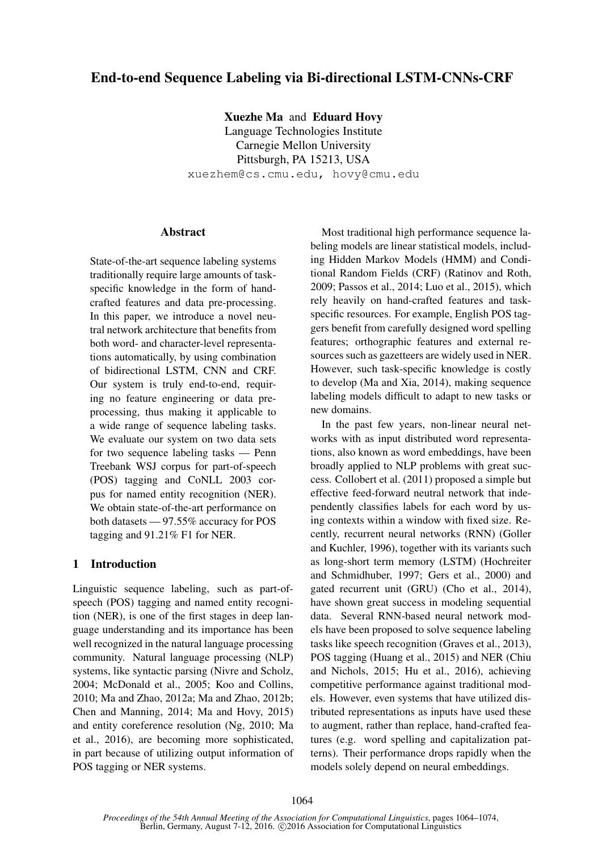# End-to-end Sequence Labeling via Bi-directional LSTM-CNNs-CRF

Xuezhe Ma and Eduard Hovy

Language Technologies Institute Carnegie Mellon University Pittsburgh, PA 15213, USA xuezhem@cs.cmu.edu, hovy@cmu.edu

# Abstract

State-of-the-art sequence labeling systems traditionally require large amounts of taskspecific knowledge in the form of handcrafted features and data pre-processing. In this paper, we introduce a novel neutral network architecture that benefits from both word- and character-level representations automatically, by using combination of bidirectional LSTM, CNN and CRF. Our system is truly end-to-end, requiring no feature engineering or data preprocessing, thus making it applicable to a wide range of sequence labeling tasks. We evaluate our system on two data sets for two sequence labeling tasks — Penn Treebank WSJ corpus for part-of-speech (POS) tagging and CoNLL 2003 corpus for named entity recognition (NER). We obtain state-of-the-art performance on both datasets — 97.55% accuracy for POS tagging and 91.21% F1 for NER.

# 1 Introduction

Linguistic sequence labeling, such as part-ofspeech (POS) tagging and named entity recognition (NER), is one of the first stages in deep language understanding and its importance has been well recognized in the natural language processing community. Natural language processing (NLP) systems, like syntactic parsing (Nivre and Scholz, 2004; McDonald et al., 2005; Koo and Collins, 2010; Ma and Zhao, 2012a; Ma and Zhao, 2012b; Chen and Manning, 2014; Ma and Hovy, 2015) and entity coreference resolution (Ng, 2010; Ma et al., 2016), are becoming more sophisticated, in part because of utilizing output information of POS tagging or NER systems.

Most traditional high performance sequence labeling models are linear statistical models, including Hidden Markov Models (HMM) and Conditional Random Fields (CRF) (Ratinov and Roth, 2009; Passos et al., 2014; Luo et al., 2015), which rely heavily on hand-crafted features and taskspecific resources. For example, English POS taggers benefit from carefully designed word spelling features; orthographic features and external resources such as gazetteers are widely used in NER. However, such task-specific knowledge is costly to develop (Ma and Xia, 2014), making sequence labeling models difficult to adapt to new tasks or new domains.

In the past few years, non-linear neural networks with as input distributed word representations, also known as word embeddings, have been broadly applied to NLP problems with great success. Collobert et al. (2011) proposed a simple but effective feed-forward neutral network that independently classifies labels for each word by using contexts within a window with fixed size. Recently, recurrent neural networks (RNN) (Goller and Kuchler, 1996), together with its variants such as long-short term memory (LSTM) (Hochreiter and Schmidhuber, 1997; Gers et al., 2000) and gated recurrent unit (GRU) (Cho et al., 2014), have shown great success in modeling sequential data. Several RNN-based neural network models have been proposed to solve sequence labeling tasks like speech recognition (Graves et al., 2013), POS tagging (Huang et al., 2015) and NER (Chiu and Nichols, 2015; Hu et al., 2016), achieving competitive performance against traditional models. However, even systems that have utilized distributed representations as inputs have used these to augment, rather than replace, hand-crafted features (e.g. word spelling and capitalization patterns). Their performance drops rapidly when the models solely depend on neural embeddings.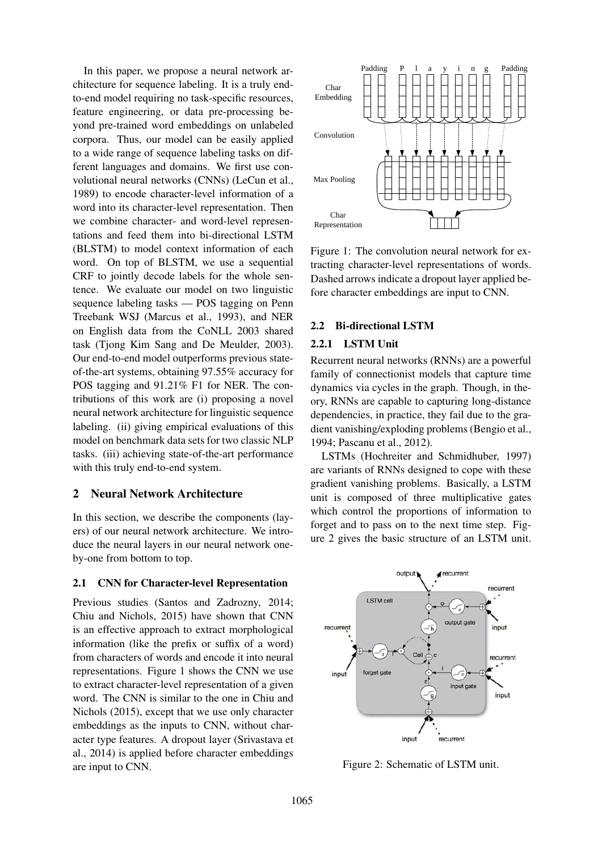In this paper, we propose a neural network architecture for sequence labeling. It is a truly endto-end model requiring no task-specific resources, feature engineering, or data pre-processing beyond pre-trained word embeddings on unlabeled corpora. Thus, our model can be easily applied to a wide range of sequence labeling tasks on different languages and domains. We first use convolutional neural networks (CNNs) (LeCun et al., 1989) to encode character-level information of a word into its character-level representation. Then we combine character- and word-level representations and feed them into bi-directional LSTM (BLSTM) to model context information of each word. On top of BLSTM, we use a sequential CRF to jointly decode labels for the whole sentence. We evaluate our model on two linguistic sequence labeling tasks — POS tagging on Penn Treebank WSJ (Marcus et al., 1993), and NER on English data from the CoNLL 2003 shared task (Tjong Kim Sang and De Meulder, 2003). Our end-to-end model outperforms previous stateof-the-art systems, obtaining 97.55% accuracy for POS tagging and 91.21% F1 for NER. The contributions of this work are (i) proposing a novel neural network architecture for linguistic sequence labeling. (ii) giving empirical evaluations of this model on benchmark data sets for two classic NLP tasks. (iii) achieving state-of-the-art performance with this truly end-to-end system.

# 2 Neural Network Architecture

In this section, we describe the components (layers) of our neural network architecture. We introduce the neural layers in our neural network oneby-one from bottom to top.

### 2.1 CNN for Character-level Representation

Previous studies (Santos and Zadrozny, 2014; Chiu and Nichols, 2015) have shown that CNN is an effective approach to extract morphological information (like the prefix or suffix of a word) from characters of words and encode it into neural representations. Figure 1 shows the CNN we use to extract character-level representation of a given word. The CNN is similar to the one in Chiu and Nichols (2015), except that we use only character embeddings as the inputs to CNN, without character type features. A dropout layer (Srivastava et al., 2014) is applied before character embeddings are input to CNN.



Figure 1: The convolution neural network for extracting character-level representations of words. Dashed arrows indicate a dropout layer applied before character embeddings are input to CNN.

# 2.2 Bi-directional LSTM

# 2.2.1 LSTM Unit

Recurrent neural networks (RNNs) are a powerful family of connectionist models that capture time dynamics via cycles in the graph. Though, in theory, RNNs are capable to capturing long-distance dependencies, in practice, they fail due to the gradient vanishing/exploding problems (Bengio et al., 1994; Pascanu et al., 2012).

LSTMs (Hochreiter and Schmidhuber, 1997) are variants of RNNs designed to cope with these gradient vanishing problems. Basically, a LSTM unit is composed of three multiplicative gates which control the proportions of information to forget and to pass on to the next time step. Figure 2 gives the basic structure of an LSTM unit.



Figure 2: Schematic of LSTM unit.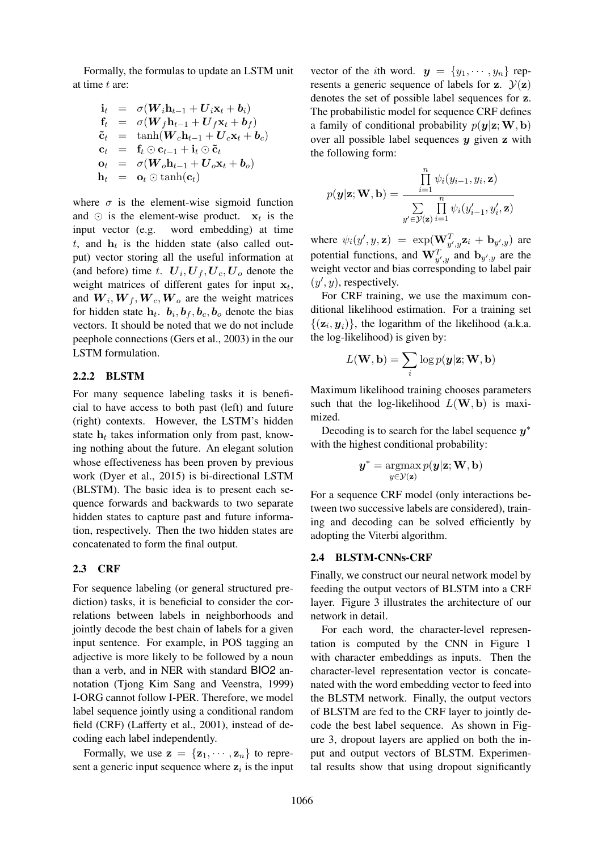Formally, the formulas to update an LSTM unit at time t are:

$$
\begin{array}{rcl}\n\mathbf{i}_t &=& \sigma(\boldsymbol{W}_i \mathbf{h}_{t-1} + \boldsymbol{U}_i \mathbf{x}_t + \boldsymbol{b}_i) \\
\mathbf{f}_t &=& \sigma(\boldsymbol{W}_f \mathbf{h}_{t-1} + \boldsymbol{U}_f \mathbf{x}_t + \boldsymbol{b}_f) \\
\tilde{\mathbf{c}}_t &=& \tanh(\boldsymbol{W}_c \mathbf{h}_{t-1} + \boldsymbol{U}_c \mathbf{x}_t + \boldsymbol{b}_c) \\
\mathbf{c}_t &=& \mathbf{f}_t \odot \mathbf{c}_{t-1} + \mathbf{i}_t \odot \tilde{\mathbf{c}}_t \\
\mathbf{o}_t &=& \sigma(\boldsymbol{W}_o \mathbf{h}_{t-1} + \boldsymbol{U}_o \mathbf{x}_t + \boldsymbol{b}_o) \\
\mathbf{h}_t &=& \mathbf{o}_t \odot \tanh(\mathbf{c}_t)\n\end{array}
$$

where  $\sigma$  is the element-wise sigmoid function and  $\odot$  is the element-wise product.  $x_t$  is the input vector (e.g. word embedding) at time  $t$ , and  $\mathbf{h}_t$  is the hidden state (also called output) vector storing all the useful information at (and before) time t.  $U_i, U_f, U_c, U_o$  denote the weight matrices of different gates for input  $x_t$ , and  $W_i, W_f, W_c, W_o$  are the weight matrices for hidden state  $h_t$ .  $b_i$ ,  $b_f$ ,  $b_c$ ,  $b_o$  denote the bias vectors. It should be noted that we do not include peephole connections (Gers et al., 2003) in the our LSTM formulation.

#### 2.2.2 BLSTM

For many sequence labeling tasks it is beneficial to have access to both past (left) and future (right) contexts. However, the LSTM's hidden state  $h_t$  takes information only from past, knowing nothing about the future. An elegant solution whose effectiveness has been proven by previous work (Dyer et al., 2015) is bi-directional LSTM (BLSTM). The basic idea is to present each sequence forwards and backwards to two separate hidden states to capture past and future information, respectively. Then the two hidden states are concatenated to form the final output.

### 2.3 CRF

For sequence labeling (or general structured prediction) tasks, it is beneficial to consider the correlations between labels in neighborhoods and jointly decode the best chain of labels for a given input sentence. For example, in POS tagging an adjective is more likely to be followed by a noun than a verb, and in NER with standard BIO2 annotation (Tjong Kim Sang and Veenstra, 1999) I-ORG cannot follow I-PER. Therefore, we model label sequence jointly using a conditional random field (CRF) (Lafferty et al., 2001), instead of decoding each label independently.

Formally, we use  $z = \{z_1, \dots, z_n\}$  to represent a generic input sequence where  $z_i$  is the input

vector of the *i*th word.  $y = \{y_1, \dots, y_n\}$  represents a generic sequence of labels for z.  $\mathcal{Y}(z)$ denotes the set of possible label sequences for z. The probabilistic model for sequence CRF defines a family of conditional probability  $p(y|z;W, b)$ over all possible label sequences  $y$  given  $z$  with the following form:

$$
p(\mathbf{y}|\mathbf{z}; \mathbf{W}, \mathbf{b}) = \frac{\prod_{i=1}^{n} \psi_i(y_{i-1}, y_i, \mathbf{z})}{\sum_{y' \in \mathcal{Y}(\mathbf{z})} \prod_{i=1}^{n} \psi_i(y'_{i-1}, y'_i, \mathbf{z})}
$$

where  $\psi_i(y', y, z) = \exp(\mathbf{W}_{y',y}^T \mathbf{z}_i + \mathbf{b}_{y',y})$  are potential functions, and  $\mathbf{W}_{y',y}^T$  and  $\mathbf{b}_{y',y}$  are the weight vector and bias corresponding to label pair  $(y', y)$ , respectively.

For CRF training, we use the maximum conditional likelihood estimation. For a training set  $\{(\mathbf{z}_i, \mathbf{y}_i)\}\$ , the logarithm of the likelihood (a.k.a. the log-likelihood) is given by:

$$
L(\mathbf{W}, \mathbf{b}) = \sum_i \log p(\boldsymbol{y}|\mathbf{z}; \mathbf{W}, \mathbf{b})
$$

Maximum likelihood training chooses parameters such that the log-likelihood  $L(W, b)$  is maximized.

Decoding is to search for the label sequence  $y^*$ with the highest conditional probability:

$$
\boldsymbol{y}^* = \operatorname*{argmax}_{y \in \mathcal{Y}(\mathbf{z})} p(\boldsymbol{y}|\mathbf{z}; \mathbf{W}, \mathbf{b})
$$

For a sequence CRF model (only interactions between two successive labels are considered), training and decoding can be solved efficiently by adopting the Viterbi algorithm.

#### 2.4 BLSTM-CNNs-CRF

Finally, we construct our neural network model by feeding the output vectors of BLSTM into a CRF layer. Figure 3 illustrates the architecture of our network in detail.

For each word, the character-level representation is computed by the CNN in Figure 1 with character embeddings as inputs. Then the character-level representation vector is concatenated with the word embedding vector to feed into the BLSTM network. Finally, the output vectors of BLSTM are fed to the CRF layer to jointly decode the best label sequence. As shown in Figure 3, dropout layers are applied on both the input and output vectors of BLSTM. Experimental results show that using dropout significantly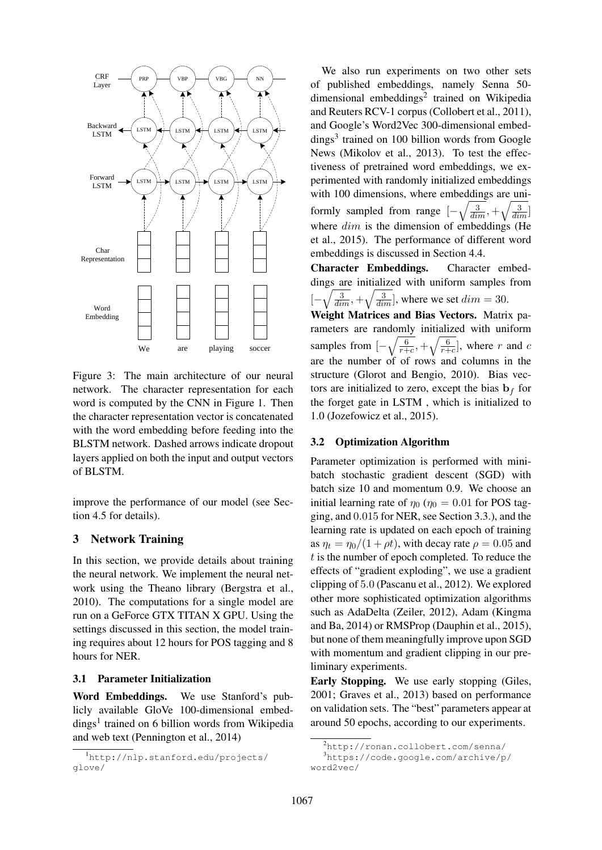

Figure 3: The main architecture of our neural network. The character representation for each word is computed by the CNN in Figure 1. Then the character representation vector is concatenated with the word embedding before feeding into the BLSTM network. Dashed arrows indicate dropout layers applied on both the input and output vectors of BLSTM.

improve the performance of our model (see Section 4.5 for details).

## 3 Network Training

In this section, we provide details about training the neural network. We implement the neural network using the Theano library (Bergstra et al., 2010). The computations for a single model are run on a GeForce GTX TITAN X GPU. Using the settings discussed in this section, the model training requires about 12 hours for POS tagging and 8 hours for NER.

### 3.1 Parameter Initialization

Word Embeddings. We use Stanford's publicly available GloVe 100-dimensional embeddings<sup>1</sup> trained on 6 billion words from Wikipedia and web text (Pennington et al., 2014)

We also run experiments on two other sets of published embeddings, namely Senna 50 dimensional embeddings<sup>2</sup> trained on Wikipedia and Reuters RCV-1 corpus (Collobert et al., 2011), and Google's Word2Vec 300-dimensional embeddings<sup>3</sup> trained on 100 billion words from Google News (Mikolov et al., 2013). To test the effectiveness of pretrained word embeddings, we experimented with randomly initialized embeddings with 100 dimensions, where embeddings are uniformly sampled from range  $[-\sqrt{\frac{3}{dim}}, +\sqrt{\frac{3}{dim}}]$ where  $dim$  is the dimension of embeddings (He et al., 2015). The performance of different word embeddings is discussed in Section 4.4.

Character Embeddings. Character embeddings are initialized with uniform samples from [−  $\sqrt{\frac{3}{dim}}$ ,  $+\sqrt{\frac{3}{dim}}$ , where we set  $dim = 30$ .

Weight Matrices and Bias Vectors. Matrix parameters are randomly initialized with uniform samples from  $\left[-\sqrt{\frac{6}{r+1}}\right]$  $\frac{6}{r+c}$ ,  $+\sqrt{\frac{6}{r+1}}$  $\frac{6}{r+c}$ , where r and c are the number of of rows and columns in the structure (Glorot and Bengio, 2010). Bias vectors are initialized to zero, except the bias  $\mathbf{b}_f$  for the forget gate in LSTM , which is initialized to 1.0 (Jozefowicz et al., 2015).

### 3.2 Optimization Algorithm

Parameter optimization is performed with minibatch stochastic gradient descent (SGD) with batch size 10 and momentum 0.9. We choose an initial learning rate of  $\eta_0$  ( $\eta_0 = 0.01$  for POS tagging, and 0.015 for NER, see Section 3.3.), and the learning rate is updated on each epoch of training as  $\eta_t = \eta_0/(1 + \rho t)$ , with decay rate  $\rho = 0.05$  and t is the number of epoch completed. To reduce the effects of "gradient exploding", we use a gradient clipping of 5.0 (Pascanu et al., 2012). We explored other more sophisticated optimization algorithms such as AdaDelta (Zeiler, 2012), Adam (Kingma and Ba, 2014) or RMSProp (Dauphin et al., 2015), but none of them meaningfully improve upon SGD with momentum and gradient clipping in our preliminary experiments.

Early Stopping. We use early stopping (Giles, 2001; Graves et al., 2013) based on performance on validation sets. The "best" parameters appear at around 50 epochs, according to our experiments.

<sup>1</sup>http://nlp.stanford.edu/projects/ glove/

<sup>2</sup>http://ronan.collobert.com/senna/

<sup>3</sup>https://code.google.com/archive/p/ word2vec/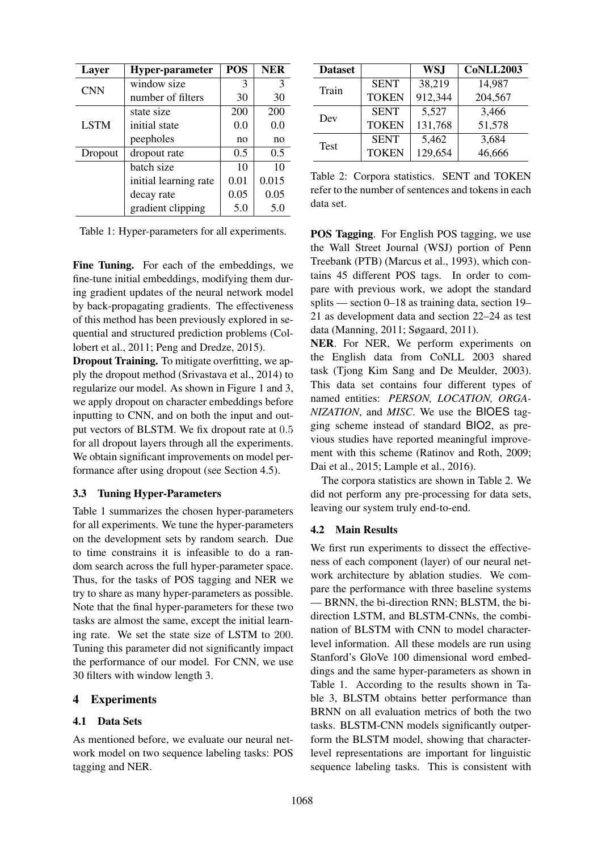| Layer       | <b>Hyper-parameter</b> | <b>POS</b> | <b>NER</b> |
|-------------|------------------------|------------|------------|
| <b>CNN</b>  | window size            | 3          | 3          |
|             | number of filters      | 30         | 30         |
|             | state size             | 200        | 200        |
| <b>LSTM</b> | initial state          | 0.0        | 0.0        |
|             | peepholes              | no         | no         |
| Dropout     | dropout rate           | 0.5        | 0.5        |
|             | batch size             | 10         | 10         |
|             | initial learning rate  | 0.01       | 0.015      |
|             | decay rate             | 0.05       | 0.05       |
|             | gradient clipping      | 5.0        | 5.0        |

Table 1: Hyper-parameters for all experiments.

Fine Tuning. For each of the embeddings, we fine-tune initial embeddings, modifying them during gradient updates of the neural network model by back-propagating gradients. The effectiveness of this method has been previously explored in sequential and structured prediction problems (Collobert et al., 2011; Peng and Dredze, 2015).

Dropout Training. To mitigate overfitting, we apply the dropout method (Srivastava et al., 2014) to regularize our model. As shown in Figure 1 and 3, we apply dropout on character embeddings before inputting to CNN, and on both the input and output vectors of BLSTM. We fix dropout rate at 0.5 for all dropout layers through all the experiments. We obtain significant improvements on model performance after using dropout (see Section 4.5).

# 3.3 Tuning Hyper-Parameters

Table 1 summarizes the chosen hyper-parameters for all experiments. We tune the hyper-parameters on the development sets by random search. Due to time constrains it is infeasible to do a random search across the full hyper-parameter space. Thus, for the tasks of POS tagging and NER we try to share as many hyper-parameters as possible. Note that the final hyper-parameters for these two tasks are almost the same, except the initial learning rate. We set the state size of LSTM to 200. Tuning this parameter did not significantly impact the performance of our model. For CNN, we use 30 filters with window length 3.

# 4 Experiments

#### 4.1 Data Sets

As mentioned before, we evaluate our neural network model on two sequence labeling tasks: POS tagging and NER.

| <b>Dataset</b> |              | <b>WSJ</b> | <b>CoNLL2003</b> |
|----------------|--------------|------------|------------------|
| Train          | <b>SENT</b>  | 38,219     | 14,987           |
|                | <b>TOKEN</b> | 912,344    | 204,567          |
|                | <b>SENT</b>  | 5,527      | 3,466            |
| Dev            | <b>TOKEN</b> | 131,768    | 51,578           |
| <b>Test</b>    | <b>SENT</b>  | 5,462      | 3,684            |
|                | <b>TOKEN</b> | 129,654    | 46,666           |

Table 2: Corpora statistics. SENT and TOKEN refer to the number of sentences and tokens in each data set.

POS Tagging. For English POS tagging, we use the Wall Street Journal (WSJ) portion of Penn Treebank (PTB) (Marcus et al., 1993), which contains 45 different POS tags. In order to compare with previous work, we adopt the standard splits — section 0–18 as training data, section 19– 21 as development data and section 22–24 as test data (Manning, 2011; Søgaard, 2011).

NER. For NER, We perform experiments on the English data from CoNLL 2003 shared task (Tjong Kim Sang and De Meulder, 2003). This data set contains four different types of named entities: *PERSON, LOCATION, ORGA-NIZATION*, and *MISC*. We use the BIOES tagging scheme instead of standard BIO2, as previous studies have reported meaningful improvement with this scheme (Ratinov and Roth, 2009; Dai et al., 2015; Lample et al., 2016).

The corpora statistics are shown in Table 2. We did not perform any pre-processing for data sets, leaving our system truly end-to-end.

#### 4.2 Main Results

We first run experiments to dissect the effectiveness of each component (layer) of our neural network architecture by ablation studies. We compare the performance with three baseline systems — BRNN, the bi-direction RNN; BLSTM, the bidirection LSTM, and BLSTM-CNNs, the combination of BLSTM with CNN to model characterlevel information. All these models are run using Stanford's GloVe 100 dimensional word embeddings and the same hyper-parameters as shown in Table 1. According to the results shown in Table 3, BLSTM obtains better performance than BRNN on all evaluation metrics of both the two tasks. BLSTM-CNN models significantly outperform the BLSTM model, showing that characterlevel representations are important for linguistic sequence labeling tasks. This is consistent with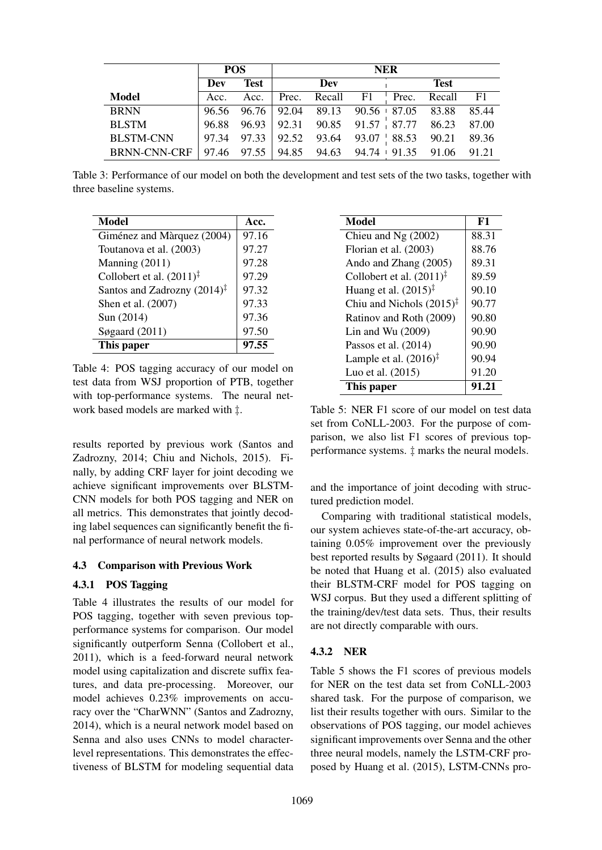|                     | <b>POS</b> |             |       |                                                         | <b>NER</b> |  |                        |       |
|---------------------|------------|-------------|-------|---------------------------------------------------------|------------|--|------------------------|-------|
|                     | Dev        | <b>Test</b> |       | Dev                                                     |            |  | <b>Test</b>            |       |
| <b>Model</b>        | Acc.       | Acc.        | Prec. |                                                         |            |  | Recall F1 Prec. Recall | - F1  |
| <b>BRNN</b>         |            |             |       | 96.56 96.76 92.04 89.13 90.56 87.05 83.88               |            |  |                        | 85.44 |
| <b>BLSTM</b>        | 96.88      |             |       | $96.93$   92.31 90.85 91.57   87.77 86.23 87.00         |            |  |                        |       |
| <b>BLSTM-CNN</b>    |            |             |       | 97.34 97.33 92.52 93.64 93.07 88.53 90.21 89.36         |            |  |                        |       |
| <b>BRNN-CNN-CRF</b> |            |             |       | $\vert$ 97.46 97.55 94.85 94.63 94.74 91.35 91.06 91.21 |            |  |                        |       |

Table 3: Performance of our model on both the development and test sets of the two tasks, together with three baseline systems.

| <b>Model</b>                            | Acc.  |
|-----------------------------------------|-------|
| Giménez and Màrquez (2004)              | 97.16 |
| Toutanova et al. (2003)                 | 97.27 |
| Manning (2011)                          | 97.28 |
| Collobert et al. $(2011)^{\ddagger}$    | 97.29 |
| Santos and Zadrozny $(2014)^{\ddagger}$ | 97.32 |
| Shen et al. (2007)                      | 97.33 |
| Sun (2014)                              | 97.36 |
| Søgaard $(2011)$                        | 97.50 |
| This paper                              | 7.55  |

Table 4: POS tagging accuracy of our model on test data from WSJ proportion of PTB, together with top-performance systems. The neural network based models are marked with ‡.

results reported by previous work (Santos and Zadrozny, 2014; Chiu and Nichols, 2015). Finally, by adding CRF layer for joint decoding we achieve significant improvements over BLSTM-CNN models for both POS tagging and NER on all metrics. This demonstrates that jointly decoding label sequences can significantly benefit the final performance of neural network models.

# 4.3 Comparison with Previous Work

# 4.3.1 POS Tagging

Table 4 illustrates the results of our model for POS tagging, together with seven previous topperformance systems for comparison. Our model significantly outperform Senna (Collobert et al., 2011), which is a feed-forward neural network model using capitalization and discrete suffix features, and data pre-processing. Moreover, our model achieves 0.23% improvements on accuracy over the "CharWNN" (Santos and Zadrozny, 2014), which is a neural network model based on Senna and also uses CNNs to model characterlevel representations. This demonstrates the effectiveness of BLSTM for modeling sequential data

| Model                                | F1    |
|--------------------------------------|-------|
| Chieu and Ng $(2002)$                | 88.31 |
| Florian et al. (2003)                | 88.76 |
| Ando and Zhang (2005)                | 89.31 |
| Collobert et al. $(2011)^{\ddagger}$ | 89.59 |
| Huang et al. $(2015)^{\ddagger}$     | 90.10 |
| Chiu and Nichols $(2015)^{\ddagger}$ | 90.77 |
| Ratinov and Roth (2009)              | 90.80 |
| Lin and Wu $(2009)$                  | 90.90 |
| Passos et al. $(2014)$               | 90.90 |
| Lample et al. $(2016)^{\ddagger}$    | 90.94 |
| Luo et al. (2015)                    | 91.20 |
| This paper                           | 91.21 |

Table 5: NER F1 score of our model on test data set from CoNLL-2003. For the purpose of comparison, we also list F1 scores of previous topperformance systems. ‡ marks the neural models.

and the importance of joint decoding with structured prediction model.

Comparing with traditional statistical models, our system achieves state-of-the-art accuracy, obtaining 0.05% improvement over the previously best reported results by Søgaard (2011). It should be noted that Huang et al. (2015) also evaluated their BLSTM-CRF model for POS tagging on WSJ corpus. But they used a different splitting of the training/dev/test data sets. Thus, their results are not directly comparable with ours.

# 4.3.2 NER

Table 5 shows the F1 scores of previous models for NER on the test data set from CoNLL-2003 shared task. For the purpose of comparison, we list their results together with ours. Similar to the observations of POS tagging, our model achieves significant improvements over Senna and the other three neural models, namely the LSTM-CRF proposed by Huang et al. (2015), LSTM-CNNs pro-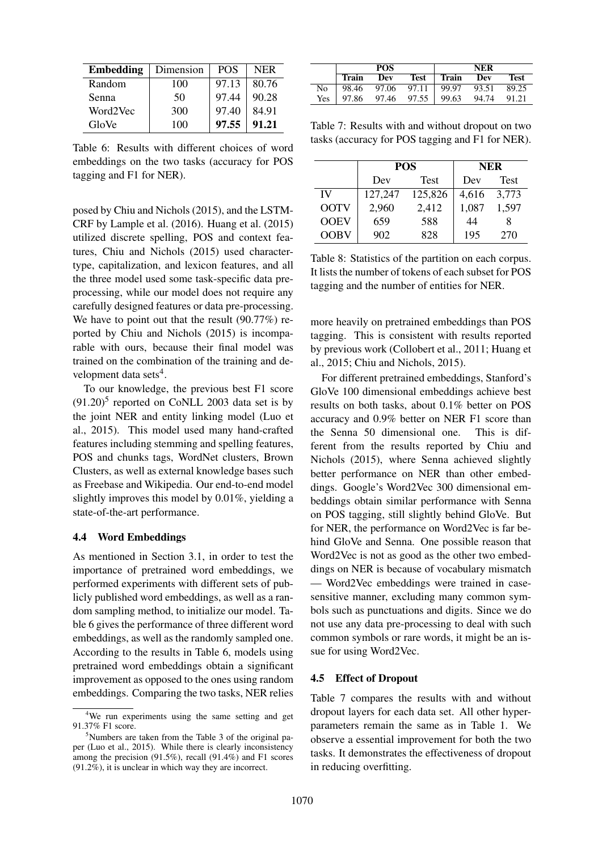| <b>Embedding</b> | Dimension | <b>POS</b> | <b>NER</b> |
|------------------|-----------|------------|------------|
| Random           | 100       | 97.13      | 80.76      |
| Senna            | 50        | 97.44      | 90.28      |
| Word2Vec         | 300       | 97.40      | 84.91      |
| GloVe            | 100       | 97.55      | 91.21      |

Table 6: Results with different choices of word embeddings on the two tasks (accuracy for POS tagging and F1 for NER).

posed by Chiu and Nichols (2015), and the LSTM-CRF by Lample et al. (2016). Huang et al. (2015) utilized discrete spelling, POS and context features, Chiu and Nichols (2015) used charactertype, capitalization, and lexicon features, and all the three model used some task-specific data preprocessing, while our model does not require any carefully designed features or data pre-processing. We have to point out that the result  $(90.77%)$  reported by Chiu and Nichols (2015) is incomparable with ours, because their final model was trained on the combination of the training and development data sets<sup>4</sup>.

To our knowledge, the previous best F1 score  $(91.20)^5$  reported on CoNLL 2003 data set is by the joint NER and entity linking model (Luo et al., 2015). This model used many hand-crafted features including stemming and spelling features, POS and chunks tags, WordNet clusters, Brown Clusters, as well as external knowledge bases such as Freebase and Wikipedia. Our end-to-end model slightly improves this model by 0.01%, yielding a state-of-the-art performance.

#### 4.4 Word Embeddings

As mentioned in Section 3.1, in order to test the importance of pretrained word embeddings, we performed experiments with different sets of publicly published word embeddings, as well as a random sampling method, to initialize our model. Table 6 gives the performance of three different word embeddings, as well as the randomly sampled one. According to the results in Table 6, models using pretrained word embeddings obtain a significant improvement as opposed to the ones using random embeddings. Comparing the two tasks, NER relies

|                                            | <b>POS</b> | NER            |  |             |
|--------------------------------------------|------------|----------------|--|-------------|
| Train Dev                                  |            | Test Train Dev |  | <b>Test</b> |
| No   98.46 97.06 97.11   99.97 93.51 89.25 |            |                |  |             |
| Yes   97.86 97.46 97.55   99.63 94.74      |            |                |  | 91.21       |

Table 7: Results with and without dropout on two tasks (accuracy for POS tagging and F1 for NER).

|             |         | <b>POS</b>  |       | <b>NER</b>  |
|-------------|---------|-------------|-------|-------------|
|             | Dev     | <b>Test</b> |       | <b>Test</b> |
| IV          | 127,247 | 125,826     | 4,616 | 3,773       |
| <b>OOTV</b> | 2,960   | 2,412       | 1,087 | 1,597       |
| <b>OOEV</b> | 659     | 588         | 44    | 8           |
| <b>OOBV</b> | 902     | 828         | 195   | 270         |

Table 8: Statistics of the partition on each corpus. It lists the number of tokens of each subset for POS tagging and the number of entities for NER.

more heavily on pretrained embeddings than POS tagging. This is consistent with results reported by previous work (Collobert et al., 2011; Huang et al., 2015; Chiu and Nichols, 2015).

For different pretrained embeddings, Stanford's GloVe 100 dimensional embeddings achieve best results on both tasks, about 0.1% better on POS accuracy and 0.9% better on NER F1 score than the Senna 50 dimensional one. This is different from the results reported by Chiu and Nichols (2015), where Senna achieved slightly better performance on NER than other embeddings. Google's Word2Vec 300 dimensional embeddings obtain similar performance with Senna on POS tagging, still slightly behind GloVe. But for NER, the performance on Word2Vec is far behind GloVe and Senna. One possible reason that Word2Vec is not as good as the other two embeddings on NER is because of vocabulary mismatch — Word2Vec embeddings were trained in casesensitive manner, excluding many common symbols such as punctuations and digits. Since we do not use any data pre-processing to deal with such common symbols or rare words, it might be an issue for using Word2Vec.

### 4.5 Effect of Dropout

Table 7 compares the results with and without dropout layers for each data set. All other hyperparameters remain the same as in Table 1. We observe a essential improvement for both the two tasks. It demonstrates the effectiveness of dropout in reducing overfitting.

<sup>&</sup>lt;sup>4</sup>We run experiments using the same setting and get 91.37% F1 score.

 $5$ Numbers are taken from the Table 3 of the original paper (Luo et al., 2015). While there is clearly inconsistency among the precision  $(91.5\%)$ , recall  $(91.4\%)$  and F1 scores  $(91.2\%)$ , it is unclear in which way they are incorrect.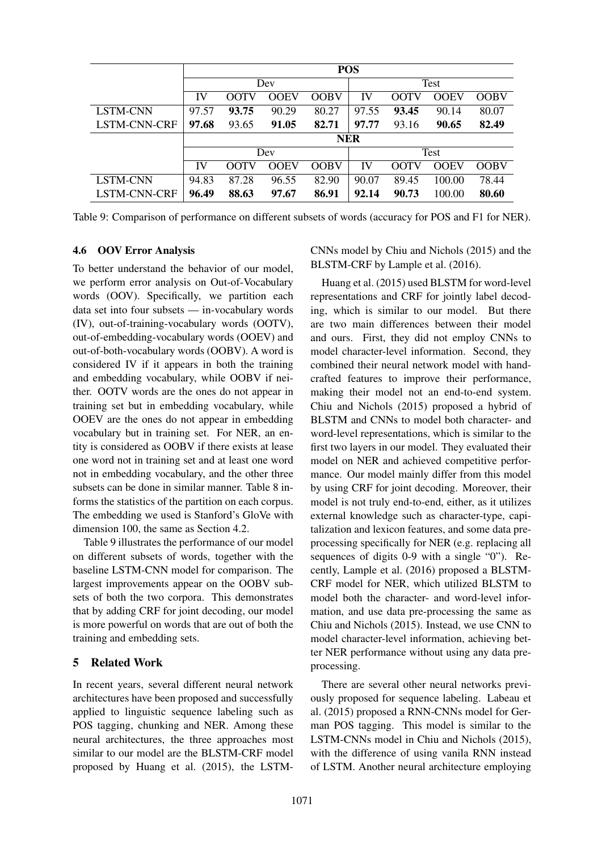|                 |       | <b>POS</b> |       |             |       |       |             |             |
|-----------------|-------|------------|-------|-------------|-------|-------|-------------|-------------|
|                 |       | Dev        |       |             |       |       | Test        |             |
|                 | IV    | OOTV       | OOEV  | <b>OOBV</b> | IV    | OOTV  | <b>OOEV</b> | <b>OOBV</b> |
| LSTM-CNN        | 97.57 | 93.75      | 90.29 | 80.27       | 97.55 | 93.45 | 90.14       | 80.07       |
| LSTM-CNN-CRF    | 97.68 | 93.65      | 91.05 | 82.71       | 97.77 | 93.16 | 90.65       | 82.49       |
|                 |       | <b>NER</b> |       |             |       |       |             |             |
|                 |       | Dev        |       |             |       | Test  |             |             |
|                 | IV    | OOTV       | OOEV  | <b>OOBV</b> | IV    | OOTV  | OOEV        | <b>OOBV</b> |
| <b>LSTM-CNN</b> | 94.83 | 87.28      | 96.55 | 82.90       | 90.07 | 89.45 | 100.00      | 78.44       |
| LSTM-CNN-CRF    | 96.49 | 88.63      | 97.67 | 86.91       | 92.14 | 90.73 | 100.00      | 80.60       |

Table 9: Comparison of performance on different subsets of words (accuracy for POS and F1 for NER).

### 4.6 OOV Error Analysis

To better understand the behavior of our model, we perform error analysis on Out-of-Vocabulary words (OOV). Specifically, we partition each data set into four subsets — in-vocabulary words (IV), out-of-training-vocabulary words (OOTV), out-of-embedding-vocabulary words (OOEV) and out-of-both-vocabulary words (OOBV). A word is considered IV if it appears in both the training and embedding vocabulary, while OOBV if neither. OOTV words are the ones do not appear in training set but in embedding vocabulary, while OOEV are the ones do not appear in embedding vocabulary but in training set. For NER, an entity is considered as OOBV if there exists at lease one word not in training set and at least one word not in embedding vocabulary, and the other three subsets can be done in similar manner. Table 8 informs the statistics of the partition on each corpus. The embedding we used is Stanford's GloVe with dimension 100, the same as Section 4.2.

Table 9 illustrates the performance of our model on different subsets of words, together with the baseline LSTM-CNN model for comparison. The largest improvements appear on the OOBV subsets of both the two corpora. This demonstrates that by adding CRF for joint decoding, our model is more powerful on words that are out of both the training and embedding sets.

### 5 Related Work

In recent years, several different neural network architectures have been proposed and successfully applied to linguistic sequence labeling such as POS tagging, chunking and NER. Among these neural architectures, the three approaches most similar to our model are the BLSTM-CRF model proposed by Huang et al. (2015), the LSTM-

CNNs model by Chiu and Nichols (2015) and the BLSTM-CRF by Lample et al. (2016).

Huang et al. (2015) used BLSTM for word-level representations and CRF for jointly label decoding, which is similar to our model. But there are two main differences between their model and ours. First, they did not employ CNNs to model character-level information. Second, they combined their neural network model with handcrafted features to improve their performance, making their model not an end-to-end system. Chiu and Nichols (2015) proposed a hybrid of BLSTM and CNNs to model both character- and word-level representations, which is similar to the first two layers in our model. They evaluated their model on NER and achieved competitive performance. Our model mainly differ from this model by using CRF for joint decoding. Moreover, their model is not truly end-to-end, either, as it utilizes external knowledge such as character-type, capitalization and lexicon features, and some data preprocessing specifically for NER (e.g. replacing all sequences of digits 0-9 with a single "0"). Recently, Lample et al. (2016) proposed a BLSTM-CRF model for NER, which utilized BLSTM to model both the character- and word-level information, and use data pre-processing the same as Chiu and Nichols (2015). Instead, we use CNN to model character-level information, achieving better NER performance without using any data preprocessing.

There are several other neural networks previously proposed for sequence labeling. Labeau et al. (2015) proposed a RNN-CNNs model for German POS tagging. This model is similar to the LSTM-CNNs model in Chiu and Nichols (2015), with the difference of using vanila RNN instead of LSTM. Another neural architecture employing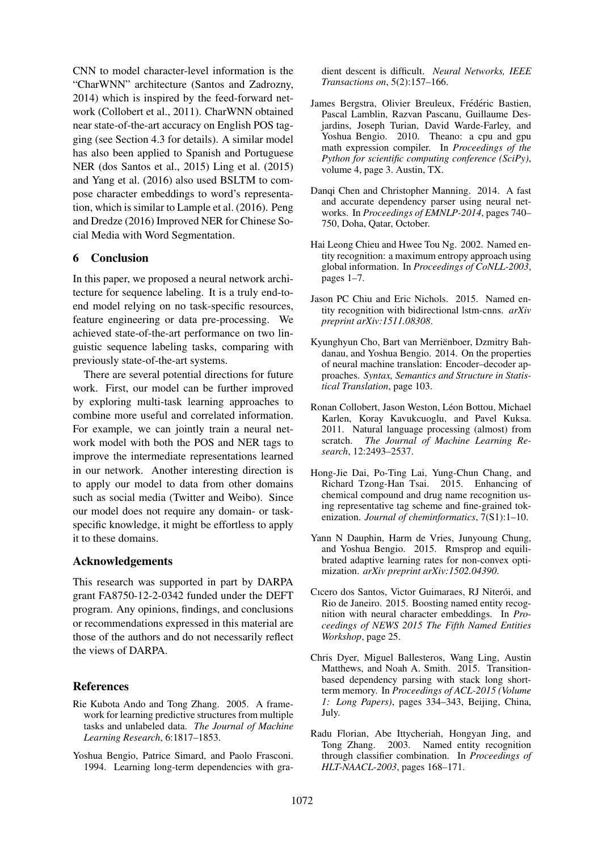CNN to model character-level information is the "CharWNN" architecture (Santos and Zadrozny, 2014) which is inspired by the feed-forward network (Collobert et al., 2011). CharWNN obtained near state-of-the-art accuracy on English POS tagging (see Section 4.3 for details). A similar model has also been applied to Spanish and Portuguese NER (dos Santos et al., 2015) Ling et al. (2015) and Yang et al. (2016) also used BSLTM to compose character embeddings to word's representation, which is similar to Lample et al. (2016). Peng and Dredze (2016) Improved NER for Chinese Social Media with Word Segmentation.

# 6 Conclusion

In this paper, we proposed a neural network architecture for sequence labeling. It is a truly end-toend model relying on no task-specific resources, feature engineering or data pre-processing. We achieved state-of-the-art performance on two linguistic sequence labeling tasks, comparing with previously state-of-the-art systems.

There are several potential directions for future work. First, our model can be further improved by exploring multi-task learning approaches to combine more useful and correlated information. For example, we can jointly train a neural network model with both the POS and NER tags to improve the intermediate representations learned in our network. Another interesting direction is to apply our model to data from other domains such as social media (Twitter and Weibo). Since our model does not require any domain- or taskspecific knowledge, it might be effortless to apply it to these domains.

### Acknowledgements

This research was supported in part by DARPA grant FA8750-12-2-0342 funded under the DEFT program. Any opinions, findings, and conclusions or recommendations expressed in this material are those of the authors and do not necessarily reflect the views of DARPA.

# References

- Rie Kubota Ando and Tong Zhang. 2005. A framework for learning predictive structures from multiple tasks and unlabeled data. *The Journal of Machine Learning Research*, 6:1817–1853.
- Yoshua Bengio, Patrice Simard, and Paolo Frasconi. 1994. Learning long-term dependencies with gra-

dient descent is difficult. *Neural Networks, IEEE Transactions on*, 5(2):157–166.

- James Bergstra, Olivier Breuleux, Frédéric Bastien, Pascal Lamblin, Razvan Pascanu, Guillaume Desjardins, Joseph Turian, David Warde-Farley, and Yoshua Bengio. 2010. Theano: a cpu and gpu math expression compiler. In *Proceedings of the Python for scientific computing conference (SciPy)*, volume 4, page 3. Austin, TX.
- Danqi Chen and Christopher Manning. 2014. A fast and accurate dependency parser using neural networks. In *Proceedings of EMNLP-2014*, pages 740– 750, Doha, Qatar, October.
- Hai Leong Chieu and Hwee Tou Ng. 2002. Named entity recognition: a maximum entropy approach using global information. In *Proceedings of CoNLL-2003*, pages 1–7.
- Jason PC Chiu and Eric Nichols. 2015. Named entity recognition with bidirectional lstm-cnns. *arXiv preprint arXiv:1511.08308*.
- Kyunghyun Cho, Bart van Merrienboer, Dzmitry Bah- ¨ danau, and Yoshua Bengio. 2014. On the properties of neural machine translation: Encoder–decoder approaches. *Syntax, Semantics and Structure in Statistical Translation*, page 103.
- Ronan Collobert, Jason Weston, Léon Bottou, Michael Karlen, Koray Kavukcuoglu, and Pavel Kuksa. 2011. Natural language processing (almost) from scratch. *The Journal of Machine Learning Research*, 12:2493–2537.
- Hong-Jie Dai, Po-Ting Lai, Yung-Chun Chang, and Richard Tzong-Han Tsai. 2015. Enhancing of chemical compound and drug name recognition using representative tag scheme and fine-grained tokenization. *Journal of cheminformatics*, 7(S1):1–10.
- Yann N Dauphin, Harm de Vries, Junyoung Chung, and Yoshua Bengio. 2015. Rmsprop and equilibrated adaptive learning rates for non-convex optimization. *arXiv preprint arXiv:1502.04390*.
- Cicero dos Santos, Victor Guimaraes, RJ Niterói, and Rio de Janeiro. 2015. Boosting named entity recognition with neural character embeddings. In *Proceedings of NEWS 2015 The Fifth Named Entities Workshop*, page 25.
- Chris Dyer, Miguel Ballesteros, Wang Ling, Austin Matthews, and Noah A. Smith. 2015. Transitionbased dependency parsing with stack long shortterm memory. In *Proceedings of ACL-2015 (Volume 1: Long Papers)*, pages 334–343, Beijing, China, July.
- Radu Florian, Abe Ittycheriah, Hongyan Jing, and Tong Zhang. 2003. Named entity recognition through classifier combination. In *Proceedings of HLT-NAACL-2003*, pages 168–171.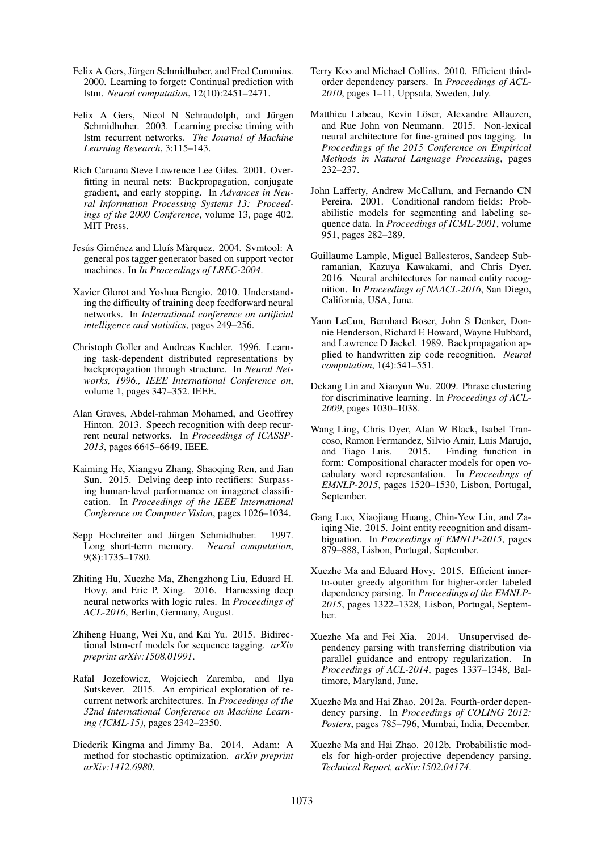- Felix A Gers, Jürgen Schmidhuber, and Fred Cummins. 2000. Learning to forget: Continual prediction with lstm. *Neural computation*, 12(10):2451–2471.
- Felix A Gers, Nicol N Schraudolph, and Jürgen Schmidhuber. 2003. Learning precise timing with lstm recurrent networks. *The Journal of Machine Learning Research*, 3:115–143.
- Rich Caruana Steve Lawrence Lee Giles. 2001. Overfitting in neural nets: Backpropagation, conjugate gradient, and early stopping. In *Advances in Neural Information Processing Systems 13: Proceedings of the 2000 Conference*, volume 13, page 402. MIT Press.
- Jesús Giménez and Lluís Màrquez. 2004. Svmtool: A general pos tagger generator based on support vector machines. In *In Proceedings of LREC-2004*.
- Xavier Glorot and Yoshua Bengio. 2010. Understanding the difficulty of training deep feedforward neural networks. In *International conference on artificial intelligence and statistics*, pages 249–256.
- Christoph Goller and Andreas Kuchler. 1996. Learning task-dependent distributed representations by backpropagation through structure. In *Neural Networks, 1996., IEEE International Conference on*, volume 1, pages 347–352. IEEE.
- Alan Graves, Abdel-rahman Mohamed, and Geoffrey Hinton. 2013. Speech recognition with deep recurrent neural networks. In *Proceedings of ICASSP-2013*, pages 6645–6649. IEEE.
- Kaiming He, Xiangyu Zhang, Shaoqing Ren, and Jian Sun. 2015. Delving deep into rectifiers: Surpassing human-level performance on imagenet classification. In *Proceedings of the IEEE International Conference on Computer Vision*, pages 1026–1034.
- Sepp Hochreiter and Jürgen Schmidhuber. 1997. Long short-term memory. *Neural computation*, 9(8):1735–1780.
- Zhiting Hu, Xuezhe Ma, Zhengzhong Liu, Eduard H. Hovy, and Eric P. Xing. 2016. Harnessing deep neural networks with logic rules. In *Proceedings of ACL-2016*, Berlin, Germany, August.
- Zhiheng Huang, Wei Xu, and Kai Yu. 2015. Bidirectional lstm-crf models for sequence tagging. *arXiv preprint arXiv:1508.01991*.
- Rafal Jozefowicz, Wojciech Zaremba, and Ilya Sutskever. 2015. An empirical exploration of recurrent network architectures. In *Proceedings of the 32nd International Conference on Machine Learning (ICML-15)*, pages 2342–2350.
- Diederik Kingma and Jimmy Ba. 2014. Adam: A method for stochastic optimization. *arXiv preprint arXiv:1412.6980*.
- Terry Koo and Michael Collins. 2010. Efficient thirdorder dependency parsers. In *Proceedings of ACL-2010*, pages 1–11, Uppsala, Sweden, July.
- Matthieu Labeau, Kevin Löser, Alexandre Allauzen, and Rue John von Neumann. 2015. Non-lexical neural architecture for fine-grained pos tagging. In *Proceedings of the 2015 Conference on Empirical Methods in Natural Language Processing*, pages 232–237.
- John Lafferty, Andrew McCallum, and Fernando CN Pereira. 2001. Conditional random fields: Probabilistic models for segmenting and labeling sequence data. In *Proceedings of ICML-2001*, volume 951, pages 282–289.
- Guillaume Lample, Miguel Ballesteros, Sandeep Subramanian, Kazuya Kawakami, and Chris Dyer. 2016. Neural architectures for named entity recognition. In *Proceedings of NAACL-2016*, San Diego, California, USA, June.
- Yann LeCun, Bernhard Boser, John S Denker, Donnie Henderson, Richard E Howard, Wayne Hubbard, and Lawrence D Jackel. 1989. Backpropagation applied to handwritten zip code recognition. *Neural computation*, 1(4):541–551.
- Dekang Lin and Xiaoyun Wu. 2009. Phrase clustering for discriminative learning. In *Proceedings of ACL-2009*, pages 1030–1038.
- Wang Ling, Chris Dyer, Alan W Black, Isabel Trancoso, Ramon Fermandez, Silvio Amir, Luis Marujo, and Tiago Luis. 2015. Finding function in form: Compositional character models for open vocabulary word representation. In *Proceedings of EMNLP-2015*, pages 1520–1530, Lisbon, Portugal, September.
- Gang Luo, Xiaojiang Huang, Chin-Yew Lin, and Zaiqing Nie. 2015. Joint entity recognition and disambiguation. In *Proceedings of EMNLP-2015*, pages 879–888, Lisbon, Portugal, September.
- Xuezhe Ma and Eduard Hovy. 2015. Efficient innerto-outer greedy algorithm for higher-order labeled dependency parsing. In *Proceedings of the EMNLP-2015*, pages 1322–1328, Lisbon, Portugal, September.
- Xuezhe Ma and Fei Xia. 2014. Unsupervised dependency parsing with transferring distribution via parallel guidance and entropy regularization. In *Proceedings of ACL-2014*, pages 1337–1348, Baltimore, Maryland, June.
- Xuezhe Ma and Hai Zhao. 2012a. Fourth-order dependency parsing. In *Proceedings of COLING 2012: Posters*, pages 785–796, Mumbai, India, December.
- Xuezhe Ma and Hai Zhao. 2012b. Probabilistic models for high-order projective dependency parsing. *Technical Report, arXiv:1502.04174*.